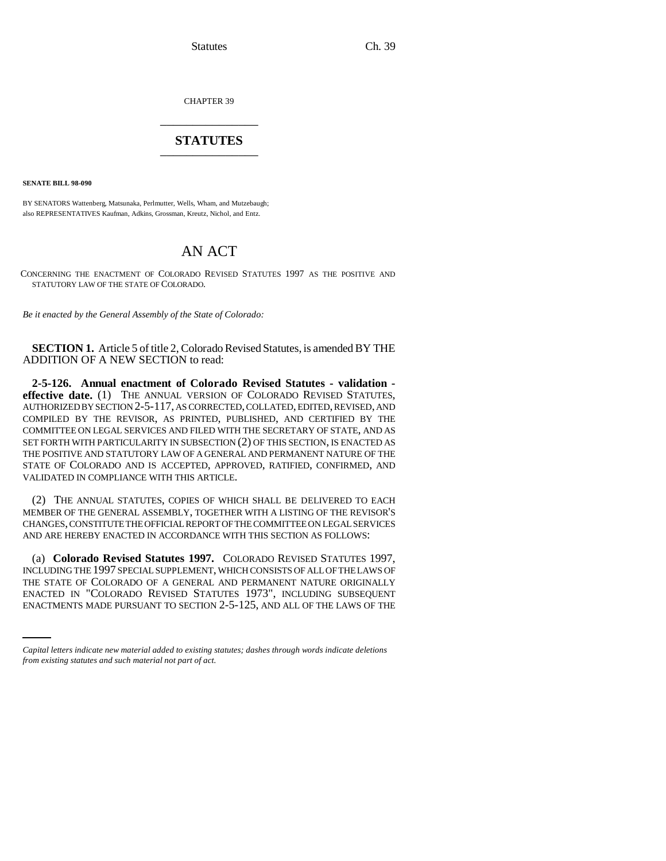Statutes Ch. 39

CHAPTER 39 \_\_\_\_\_\_\_\_\_\_\_\_\_\_\_

## **STATUTES** \_\_\_\_\_\_\_\_\_\_\_\_\_\_\_

**SENATE BILL 98-090**

BY SENATORS Wattenberg, Matsunaka, Perlmutter, Wells, Wham, and Mutzebaugh; also REPRESENTATIVES Kaufman, Adkins, Grossman, Kreutz, Nichol, and Entz.

## AN ACT

CONCERNING THE ENACTMENT OF COLORADO REVISED STATUTES 1997 AS THE POSITIVE AND STATUTORY LAW OF THE STATE OF COLORADO.

*Be it enacted by the General Assembly of the State of Colorado:*

**SECTION 1.** Article 5 of title 2, Colorado Revised Statutes, is amended BY THE ADDITION OF A NEW SECTION to read:

**2-5-126. Annual enactment of Colorado Revised Statutes - validation effective date.** (1) THE ANNUAL VERSION OF COLORADO REVISED STATUTES, AUTHORIZED BY SECTION 2-5-117, AS CORRECTED, COLLATED, EDITED, REVISED, AND COMPILED BY THE REVISOR, AS PRINTED, PUBLISHED, AND CERTIFIED BY THE COMMITTEE ON LEGAL SERVICES AND FILED WITH THE SECRETARY OF STATE, AND AS SET FORTH WITH PARTICULARITY IN SUBSECTION (2) OF THIS SECTION, IS ENACTED AS THE POSITIVE AND STATUTORY LAW OF A GENERAL AND PERMANENT NATURE OF THE STATE OF COLORADO AND IS ACCEPTED, APPROVED, RATIFIED, CONFIRMED, AND VALIDATED IN COMPLIANCE WITH THIS ARTICLE.

(2) THE ANNUAL STATUTES, COPIES OF WHICH SHALL BE DELIVERED TO EACH MEMBER OF THE GENERAL ASSEMBLY, TOGETHER WITH A LISTING OF THE REVISOR'S CHANGES, CONSTITUTE THE OFFICIAL REPORT OF THE COMMITTEE ON LEGAL SERVICES AND ARE HEREBY ENACTED IN ACCORDANCE WITH THIS SECTION AS FOLLOWS:

THE STATE OF COLORADO OF A GENERAL AND PERMANENT NATURE ORIGINALLY (a) **Colorado Revised Statutes 1997.** COLORADO REVISED STATUTES 1997, INCLUDING THE 1997 SPECIAL SUPPLEMENT, WHICH CONSISTS OF ALL OF THE LAWS OF ENACTED IN "COLORADO REVISED STATUTES 1973", INCLUDING SUBSEQUENT ENACTMENTS MADE PURSUANT TO SECTION 2-5-125, AND ALL OF THE LAWS OF THE

*Capital letters indicate new material added to existing statutes; dashes through words indicate deletions from existing statutes and such material not part of act.*